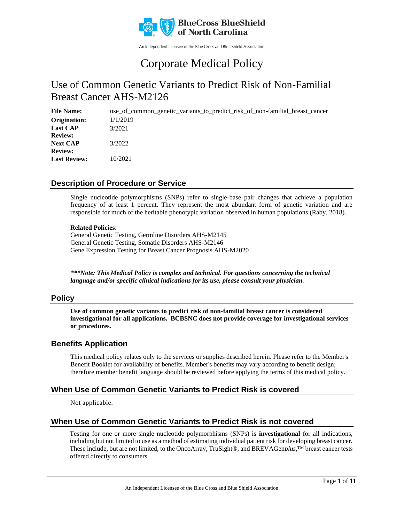

An independent licensee of the Blue Cross and Blue Shield Association

# Corporate Medical Policy

## Use of Common Genetic Variants to Predict Risk of Non-Familial Breast Cancer AHS-M2126

**File Name:** use of common genetic variants to predict risk of non-familial breast cancer 1/1/2019 3/2021 3/2022 10/2021 **Origination: Last CAP Review: Next CAP Review: Last Review:**

### **Description of Procedure or Service**

Single nucleotide polymorphisms (SNPs) refer to single-base pair changes that achieve a population frequency of at least 1 percent. They represent the most abundant form of genetic variation and are responsible for much of the heritable phenotypic variation observed in human populations (Raby, 2018).

#### **Related Policies**:

General Genetic Testing, Germline Disorders AHS-M2145 General Genetic Testing, Somatic Disorders AHS-M2146 Gene Expression Testing for Breast Cancer Prognosis AHS-M2020

*\*\*\*Note: This Medical Policy is complex and technical. For questions concerning the technical language and/or specific clinical indications for its use, please consult your physician.*

### **Policy**

**Use of common genetic variants to predict risk of non-familial breast cancer is considered investigational for all applications. BCBSNC does not provide coverage for investigational services or procedures.**

### **Benefits Application**

This medical policy relates only to the services or supplies described herein. Please refer to the Member's Benefit Booklet for availability of benefits. Member's benefits may vary according to benefit design; therefore member benefit language should be reviewed before applying the terms of this medical policy.

### **When Use of Common Genetic Variants to Predict Risk is covered**

Not applicable.

### **When Use of Common Genetic Variants to Predict Risk is not covered**

Testing for one or more single nucleotide polymorphisms (SNPs) is **investigational** for all indications, including but not limited to use as a method of estimating individual patient risk for developing breast cancer. These include, but are not limited, to the OncoArray, TruSight®, and BREVAGen*plus*,™ breast cancer tests offered directly to consumers.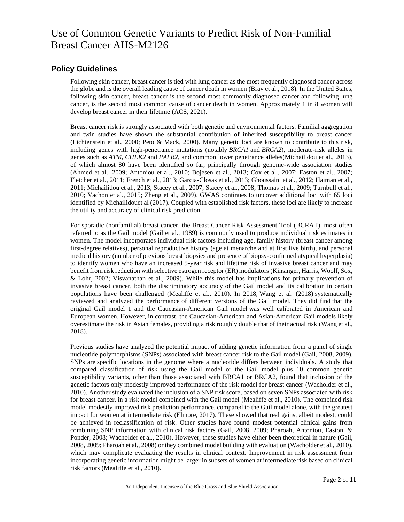### **Policy Guidelines**

Following skin cancer, breast cancer is tied with lung cancer as the most frequently diagnosed cancer across the globe and is the overall leading cause of cancer death in women (Bray et al., 2018). In the United States, following skin cancer, breast cancer is the second most commonly diagnosed cancer and following lung cancer, is the second most common cause of cancer death in women. Approximately 1 in 8 women will develop breast cancer in their lifetime (ACS, 2021).

Breast cancer risk is strongly associated with both genetic and environmental factors. Familial aggregation and twin studies have shown the substantial contribution of inherited susceptibility to breast cancer (Lichtenstein et al., 2000; Peto & Mack, 2000). Many genetic loci are known to contribute to this risk, including genes with high-penetrance mutations (notably *BRCA1* and *BRCA2*), moderate-risk alleles in genes such as *ATM*, *CHEK2* and *PALB2*, and common lower penetrance alleles(Michailidou et al., 2013), of which almost 80 have been identified so far, principally through genome-wide association studies (Ahmed et al., 2009; Antoniou et al., 2010; Bojesen et al., 2013; Cox et al., 2007; Easton et al., 2007; Fletcher et al., 2011; French et al., 2013; Garcia-Closas et al., 2013; Ghoussaini et al., 2012; Haiman et al., 2011; Michailidou et al., 2013; Stacey et al., 2007; Stacey et al., 2008; Thomas et al., 2009; Turnbull et al., 2010; Vachon et al., 2015; Zheng et al., 2009). GWAS continues to uncover additional loci with 65 loci identified by Michailidouet al (2017). Coupled with established risk factors, these loci are likely to increase the utility and accuracy of clinical risk prediction.

For sporadic (nonfamilial) breast cancer, the Breast Cancer Risk Assessment Tool (BCRAT), most often referred to as the Gail model (Gail et al., 1989) is commonly used to produce individual risk estimates in women. The model incorporates individual risk factors including age, family history (breast cancer among first-degree relatives), personal reproductive history (age at menarche and at first live birth), and personal medical history (number of previous breast biopsies and presence of biopsy-confirmed atypical hyperplasia) to identify women who have an increased 5-year risk and lifetime risk of invasive breast cancer and may benefit from risk reduction with selective estrogen receptor (ER) modulators (Kinsinger, Harris, Woolf, Sox, & Lohr, 2002; Visvanathan et al., 2009). While this model has implications for primary prevention of invasive breast cancer, both the discriminatory accuracy of the Gail model and its calibration in certain populations have been challenged (Mealiffe et al., 2010). In 2018, Wang et al. (2018) systematically reviewed and analyzed the performance of different versions of the Gail model. They did find that the original Gail model 1 and the Caucasian-American Gail model was well calibrated in American and European women. However, in contrast, the Caucasian-American and Asian-American Gail models likely overestimate the risk in Asian females, providing a risk roughly double that of their actual risk (Wang et al., 2018).

Previous studies have analyzed the potential impact of adding genetic information from a panel of single nucleotide polymorphisms (SNPs) associated with breast cancer risk to the Gail model (Gail, 2008, 2009). SNPs are specific locations in the genome where a nucleotide differs between individuals. A study that compared classification of risk using the Gail model or the Gail model plus 10 common genetic susceptibility variants, other than those associated with BRCA1 or BRCA2, found that inclusion of the genetic factors only modestly improved performance of the risk model for breast cancer (Wacholder et al., 2010). Another study evaluated the inclusion of a SNP risk score, based on seven SNPs associated with risk for breast cancer, in a risk model combined with the Gail model (Mealiffe et al., 2010). The combined risk model modestly improved risk prediction performance, compared to the Gail model alone, with the greatest impact for women at intermediate risk (Elmore, 2017). These showed that real gains, albeit modest, could be achieved in reclassification of risk. Other studies have found modest potential clinical gains from combining SNP information with clinical risk factors (Gail, 2008, 2009; Pharoah, Antoniou, Easton, & Ponder, 2008; Wacholder et al., 2010). However, these studies have either been theoretical in nature (Gail, 2008, 2009; Pharoah et al., 2008) or they combined model building with evaluation (Wacholder et al., 2010), which may complicate evaluating the results in clinical context. Improvement in risk assessment from incorporating genetic information might be larger in subsets of women at intermediate risk based on clinical risk factors (Mealiffe et al., 2010).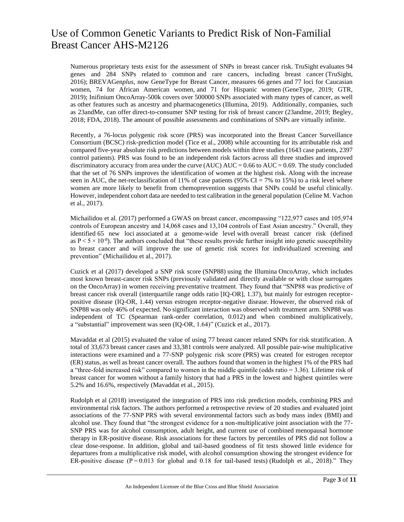Numerous proprietary tests exist for the assessment of SNPs in breast cancer risk. TruSight evaluates 94 genes and 284 SNPs related to common and rare cancers, including breast cancer (TruSight, 2016); BREVAGen*plus*, now GeneType for Breast Cancer, measures 66 genes and 77 loci for Caucasian women, 74 for African American women, and 71 for Hispanic women (GeneType, 2019; GTR, 2019); Inifinium OncoArray-500k covers over 500000 SNPs associated with many types of cancer, as well as other features such as ancestry and pharmacogenetics (Illumina, 2019). Additionally, companies, such as 23andMe, can offer direct-to-consumer SNP testing for risk of breast cancer (23andme, 2019; Begley, 2018; FDA, 2018). The amount of possible assessments and combinations of SNPs are virtually infinite.

Recently, a 76-locus polygenic risk score (PRS) was incorporated into the Breast Cancer Surveillance Consortium (BCSC) risk-prediction model (Tice et al., 2008) while accounting for its attributable risk and compared five-year absolute risk predictions between models within three studies (1643 case patients, 2397 control patients). PRS was found to be an independent risk factors across all three studies and improved discriminatory accuracy from area under the curve (AUC)  $AUC = 0.66$  to  $AUC = 0.69$ . The study concluded that the set of 76 SNPs improves the identification of women at the highest risk. Along with the increase seen in AUC, the net-reclassification of 11% of case patients (95% CI = 7% to 15%) to a risk level where women are more likely to benefit from chemoprevention suggests that SNPs could be useful clinically. However, independent cohort data are needed to test calibration in the general population (Celine M. Vachon et al., 2017).

Michailidou et al. (2017) performed a GWAS on breast cancer, encompassing "122,977 cases and 105,974 controls of European ancestry and 14,068 cases and 13,104 controls of East Asian ancestry." Overall, they identified 65 new loci associated at a genome-wide level with overall breast cancer risk (defined as  $P < 5 \times 10^{-8}$ ). The authors concluded that "these results provide further insight into genetic susceptibility to breast cancer and will improve the use of genetic risk scores for individualized screening and prevention" (Michailidou et al., 2017).

Cuzick et al (2017) developed a SNP risk score (SNP88) using the Illumina OncoArray, which includes most known breast-cancer risk SNPs (previously validated and directly available or with close surrogates on the OncoArray) in women receiving preventative treatment. They found that "SNP88 was predictive of breast cancer risk overall (interquartile range odds ratio [IQ-OR], 1.37), but mainly for estrogen receptorpositive disease (IQ-OR, 1.44) versus estrogen receptor-negative disease. However, the observed risk of SNP88 was only 46% of expected. No significant interaction was observed with treatment arm. SNP88 was independent of TC (Spearman rank-order correlation, 0.012) and when combined multiplicatively, a "substantial" improvement was seen (IQ-OR, 1.64)" (Cuzick et al., 2017).

Mavaddat et al (2015) evaluated the value of using 77 breast cancer related SNPs for risk stratification. A total of 33,673 breast cancer cases and 33,381 controls were analyzed. All possible pair-wise multiplicative interactions were examined and a 77-SNP polygenic risk score (PRS) was created for estrogen receptor (ER) status, as well as breast cancer overall. The authors found that women in the highest 1% of the PRS had a "three-fold increased risk" compared to women in the middle quintile (odds ratio = 3.36). Lifetime risk of breast cancer for women without a family history that had a PRS in the lowest and highest quintiles were 5.2% and 16.6%, respectively (Mavaddat et al., 2015).

Rudolph et al (2018) investigated the integration of PRS into risk prediction models, combining PRS and environmental risk factors. The authors performed a retrospective review of 20 studies and evaluated joint associations of the 77-SNP PRS with several environmental factors such as body mass index (BMI) and alcohol use. They found that "the strongest evidence for a non-multiplicative joint association with the 77- SNP PRS was for alcohol consumption, adult height, and current use of combined menopausal hormone therapy in ER-positive disease. Risk associations for these factors by percentiles of PRS did not follow a clear dose-response. In addition, global and tail-based goodness of fit tests showed little evidence for departures from a multiplicative risk model, with alcohol consumption showing the strongest evidence for ER-positive disease ( $P = 0.013$  for global and 0.18 for tail-based tests) (Rudolph et al., 2018)." They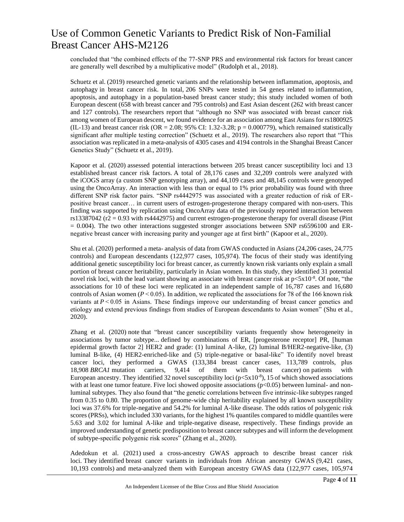concluded that "the combined effects of the 77-SNP PRS and environmental risk factors for breast cancer are generally well described by a multiplicative model" (Rudolph et al., 2018).

Schuetz et al. (2019) researched genetic variants and the relationship between inflammation, apoptosis, and autophagy in breast cancer risk. In total, 206 SNPs were tested in 54 genes related to inflammation, apoptosis, and autophagy in a population-based breast cancer study; this study included women of both European descent (658 with breast cancer and 795 controls) and East Asian descent (262 with breast cancer and 127 controls). The researchers report that "although no SNP was associated with breast cancer risk among women of European descent, we found evidence for an association among East Asians for rs1800925 (IL-13) and breast cancer risk (OR = 2.08; 95% CI: 1.32-3.28;  $p = 0.000779$ ), which remained statistically significant after multiple testing correction" (Schuetz et al., 2019). The researchers also report that "This association was replicated in a meta-analysis of 4305 cases and 4194 controls in the Shanghai Breast Cancer Genetics Study" (Schuetz et al., 2019).

Kapoor et al. (2020) assessed potential interactions between 205 breast cancer susceptibility loci and 13 established breast cancer risk factors. A total of 28,176 cases and 32,209 controls were analyzed with the iCOGS array (a custom SNP genotyping array), and 44,109 cases and 48,145 controls were genotyped using the OncoArray. An interaction with less than or equal to 1% prior probability was found with three different SNP risk factor pairs. "SNP rs4442975 was associated with a greater reduction of risk of ERpositive breast cancer… in current users of estrogen-progesterone therapy compared with non-users. This finding was supported by replication using OncoArray data of the previously reported interaction between rs13387042 ( $r2 = 0.93$  with rs4442975) and current estrogen-progesterone therapy for overall disease (Pint  $= 0.004$ ). The two other interactions suggested stronger associations between SNP rs6596100 and ERnegative breast cancer with increasing parity and younger age at first birth" (Kapoor et al., 2020).

Shu et al. (2020) performed a meta- analysis of data from GWAS conducted in Asians (24,206 cases, 24,775 controls) and European descendants (122,977 cases, 105,974). The focus of their study was identifying additional genetic susceptibility loci for breast cancer, as currently known risk variants only explain a small portion of breast cancer heritability, particularly in Asian women. In this study, they identified 31 potential novel risk loci, with the lead variant showing an associate with breast cancer risk at  $p < 5x10^{-8}$ . Of note, "the associations for 10 of these loci were replicated in an independent sample of 16,787 cases and 16,680 controls of Asian women ( $P \le 0.05$ ). In addition, we replicated the associations for 78 of the 166 known risk variants at  $P \le 0.05$  in Asians. These findings improve our understanding of breast cancer genetics and etiology and extend previous findings from studies of European descendants to Asian women" (Shu et al., 2020).

Zhang et al. (2020) note that "breast cancer susceptibility variants frequently show heterogeneity in associations by tumor subtype... defined by combinations of ER, [progesterone receptor] PR, [human epidermal growth factor 2] HER2 and grade: (1) luminal A-like, (2) luminal B/HER2-negative-like, (3) luminal B-like, (4) HER2-enriched-like and (5) triple-negative or basal-like" To identify novel breast cancer loci, they performed a GWAS (133,384 breast cancer cases, 113,789 controls, plus 18,908 *BRCA1* mutation carriers, 9,414 of them with breast cancer) on patients with European ancestry. They identified 32 novel susceptibility loci  $(p<5x10^{-8})$ , 15 of which showed associations with at least one tumor feature. Five loci showed opposite associations  $(p<0.05)$  between luminal- and nonluminal subtypes. They also found that "the genetic correlations between five intrinsic-like subtypes ranged from 0.35 to 0.80. The proportion of genome-wide chip heritability explained by all known susceptibility loci was 37.6% for triple-negative and 54.2% for luminal A-like disease. The odds ratios of polygenic risk scores (PRSs), which included 330 variants, for the highest 1% quantiles compared to middle quantiles were 5.63 and 3.02 for luminal A-like and triple-negative disease, respectively. These findings provide an improved understanding of genetic predisposition to breast cancer subtypes and will inform the development of subtype-specific polygenic risk scores" (Zhang et al., 2020).

Adedokun et al. (2021) used a cross-ancestry GWAS approach to describe breast cancer risk loci. They identified breast cancer variants in individuals from African ancestry GWAS (9,421 cases, 10,193 controls) and meta-analyzed them with European ancestry GWAS data (122,977 cases, 105,974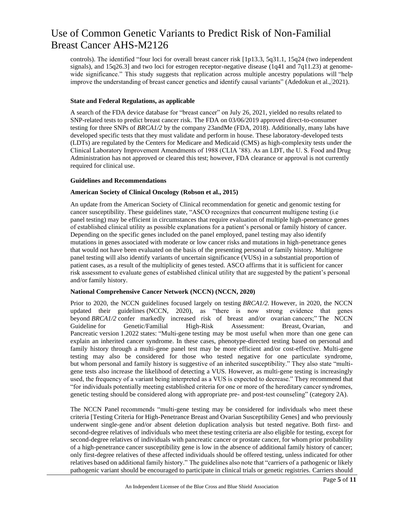controls). The identified "four loci for overall breast cancer risk [1p13.3, 5q31.1, 15q24 (two independent signals), and 15q26.3] and two loci for estrogen receptor-negative disease (1q41 and 7q11.23) at genomewide significance." This study suggests that replication across multiple ancestry populations will "help improve the understanding of breast cancer genetics and identify causal variants" (Adedokun et al., 2021).

#### **State and Federal Regulations, as applicable**

A search of the FDA device database for "breast cancer" on July 26, 2021, yielded no results related to SNP-related tests to predict breast cancer risk. The FDA on 03/06/2019 approved direct-to-consumer testing for three SNPs of *BRCA1/2* by the company 23andMe (FDA, 2018). Additionally, many labs have developed specific tests that they must validate and perform in house. These laboratory-developed tests (LDTs) are regulated by the Centers for Medicare and Medicaid (CMS) as high-complexity tests under the Clinical Laboratory Improvement Amendments of 1988 (CLIA '88). As an LDT, the U. S. Food and Drug Administration has not approved or cleared this test; however, FDA clearance or approval is not currently required for clinical use.

#### **Guidelines and Recommendations**

#### **American Society of Clinical Oncology (Robson et al., 2015)**

An update from the American Society of Clinical recommendation for genetic and genomic testing for cancer susceptibility. These guidelines state, "ASCO recognizes that concurrent multigene testing (i.e panel testing) may be efficient in circumstances that require evaluation of multiple high-penetrance genes of established clinical utility as possible explanations for a patient's personal or family history of cancer. Depending on the specific genes included on the panel employed, panel testing may also identify mutations in genes associated with moderate or low cancer risks and mutations in high-penetrance genes that would not have been evaluated on the basis of the presenting personal or family history. Multigene panel testing will also identify variants of uncertain significance (VUSs) in a substantial proportion of patient cases, as a result of the multiplicity of genes tested. ASCO affirms that it is sufficient for cancer risk assessment to evaluate genes of established clinical utility that are suggested by the patient's personal and/or family history.

#### **National Comprehensive Cancer Network (NCCN) (NCCN, 2020)**

Prior to 2020, the NCCN guidelines focused largely on testing *BRCA1/2.* However, in 2020, the NCCN updated their guidelines (NCCN, 2020), as "there is now strong evidence that genes beyond *BRCA1/2* confer markedly increased risk of breast and/or ovarian cancers;" The NCCN Guideline for Genetic/Familial High-Risk Assessment: Breast, Ovarian, and Pancreatic version 1.2022 states: "Multi-gene testing may be most useful when more than one gene can explain an inherited cancer syndrome. In these cases, phenotype-directed testing based on personal and family history through a multi-gene panel test may be more efficient and/or cost-effective. Multi-gene testing may also be considered for those who tested negative for one particulate syndrome, but whom personal and family history is suggestive of an inherited susceptibility." They also state "multigene tests also increase the likelihood of detecting a VUS. However, as multi-gene testing is increasingly used, the frequency of a variant being interpreted as a VUS is expected to decrease." They recommend that "for individuals potentially meeting established criteria for one or more of the hereditary cancer syndromes, genetic testing should be considered along with appropriate pre- and post-test counseling" (category 2A).

The NCCN Panel recommends "multi-gene testing may be considered for individuals who meet these criteria [Testing Criteria for High-Penetrance Breast and Ovarian Susceptibility Genes] and who previously underwent single-gene and/or absent deletion duplication analysis but tested negative. Both first- and second-degree relatives of individuals who meet these testing criteria are also eligible for testing, except for second-degree relatives of individuals with pancreatic cancer or prostate cancer, for whom prior probability of a high-penetrance cancer susceptibility gene is low in the absence of additional family history of cancer; only first-degree relatives of these affected individuals should be offered testing, unless indicated for other relatives based on additional family history." The guidelines also note that "carriers of a pathogenic or likely pathogenic variant should be encouraged to participate in clinical trials or genetic registries. Carriers should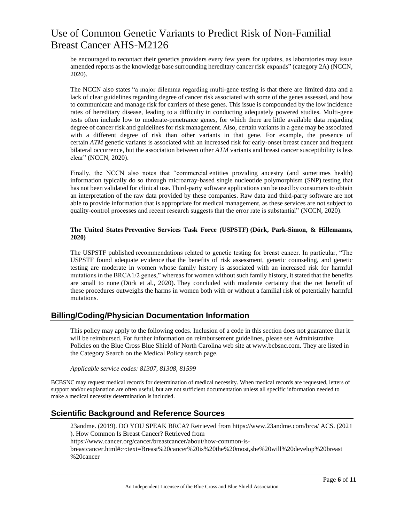be encouraged to recontact their genetics providers every few years for updates, as laboratories may issue amended reports as the knowledge base surrounding hereditary cancer risk expands" (category 2A) (NCCN, 2020).

The NCCN also states "a major dilemma regarding multi-gene testing is that there are limited data and a lack of clear guidelines regarding degree of cancer risk associated with some of the genes assessed, and how to communicate and manage risk for carriers of these genes. This issue is compounded by the low incidence rates of hereditary disease, leading to a difficulty in conducting adequately powered studies. Multi-gene tests often include low to moderate-penetrance genes, for which there are little available data regarding degree of cancer risk and guidelines for risk management. Also, certain variants in a gene may be associated with a different degree of risk than other variants in that gene. For example, the presence of certain *ATM* genetic variants is associated with an increased risk for early-onset breast cancer and frequent bilateral occurrence, but the association between other *ATM* variants and breast cancer susceptibility is less clear" (NCCN, 2020).

Finally, the NCCN also notes that "commercial entities providing ancestry (and sometimes health) information typically do so through microarray-based single nucleotide polymorphism (SNP) testing that has not been validated for clinical use. Third-party software applications can be used by consumers to obtain an interpretation of the raw data provided by these companies. Raw data and third-party software are not able to provide information that is appropriate for medical management, as these services are not subject to quality-control processes and recent research suggests that the error rate is substantial" (NCCN, 2020).

#### **The United States Preventive Services Task Force (USPSTF) (Dörk, Park-Simon, & Hillemanns, 2020)**

The USPSTF published recommendations related to genetic testing for breast cancer. In particular, "The USPSTF found adequate evidence that the benefits of risk assessment, genetic counseling, and genetic testing are moderate in women whose family history is associated with an increased risk for harmful mutations in the BRCA1/2 genes," whereas for women without such family history, it stated that the benefits are small to none (Dörk et al., 2020). They concluded with moderate certainty that the net benefit of these procedures outweighs the harms in women both with or without a familial risk of potentially harmful mutations.

### **Billing/Coding/Physician Documentation Information**

This policy may apply to the following codes. Inclusion of a code in this section does not guarantee that it will be reimbursed. For further information on reimbursement guidelines, please see Administrative Policies on the Blue Cross Blue Shield of North Carolina web site at www.bcbsnc.com. They are listed in the Category Search on the Medical Policy search page.

*Applicable service codes: 81307, 81308, 81599*

BCBSNC may request medical records for determination of medical necessity. When medical records are requested, letters of support and/or explanation are often useful, but are not sufficient documentation unless all specific information needed to make a medical necessity determination is included.

### **Scientific Background and Reference Sources**

23andme. (2019). DO YOU SPEAK BRCA? Retrieved from https://www.23andme.com/brca/ ACS. (2021 ). How Common Is Breast Cancer? Retrieved from https://www.cancer.org/cancer/breastcancer/about/how-common-isbreastcancer.html#:~:text=Breast%20cancer%20is%20the%20most,she%20will%20develop%20breast %20cancer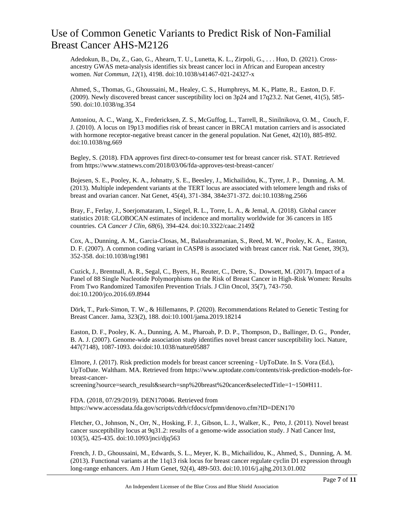Adedokun, B., Du, Z., Gao, G., Ahearn, T. U., Lunetta, K. L., Zirpoli, G., . . . Huo, D. (2021). Crossancestry GWAS meta-analysis identifies six breast cancer loci in African and European ancestry women. *Nat Commun, 12*(1), 4198. doi:10.1038/s41467-021-24327-x

Ahmed, S., Thomas, G., Ghoussaini, M., Healey, C. S., Humphreys, M. K., Platte, R., Easton, D. F. (2009). Newly discovered breast cancer susceptibility loci on 3p24 and 17q23.2. Nat Genet, 41(5), 585- 590. doi:10.1038/ng.354

Antoniou, A. C., Wang, X., Fredericksen, Z. S., McGuffog, L., Tarrell, R., Sinilnikova, O. M., Couch, F. J. (2010). A locus on 19p13 modifies risk of breast cancer in BRCA1 mutation carriers and is associated with hormone receptor-negative breast cancer in the general population. Nat Genet,  $42(10)$ , 885-892. doi:10.1038/ng.669

Begley, S. (2018). FDA approves first direct-to-consumer test for breast cancer risk. STAT. Retrieved from https://www.statnews.com/2018/03/06/fda-approves-test-breast-cancer/

Bojesen, S. E., Pooley, K. A., Johnatty, S. E., Beesley, J., Michailidou, K., Tyrer, J. P., Dunning, A. M. (2013). Multiple independent variants at the TERT locus are associated with telomere length and risks of breast and ovarian cancer. Nat Genet, 45(4), 371-384, 384e371-372. doi:10.1038/ng.2566

Bray, F., Ferlay, J., Soerjomataram, I., Siegel, R. L., Torre, L. A., & Jemal, A. (2018). Global cancer statistics 2018: GLOBOCAN estimates of incidence and mortality worldwide for 36 cancers in 185 countries. *CA Cancer J Clin, 68*(6), 394-424. doi:10.3322/caac.21492

Cox, A., Dunning, A. M., Garcia-Closas, M., Balasubramanian, S., Reed, M. W., Pooley, K. A., Easton, D. F. (2007). A common coding variant in CASP8 is associated with breast cancer risk. Nat Genet, 39(3), 352-358. doi:10.1038/ng1981

Cuzick, J., Brentnall, A. R., Segal, C., Byers, H., Reuter, C., Detre, S., Dowsett, M. (2017). Impact of a Panel of 88 Single Nucleotide Polymorphisms on the Risk of Breast Cancer in High-Risk Women: Results From Two Randomized Tamoxifen Prevention Trials. J Clin Oncol, 35(7), 743-750. doi:10.1200/jco.2016.69.8944

Dörk, T., Park-Simon, T. W., & Hillemanns, P. (2020). Recommendations Related to Genetic Testing for Breast Cancer. Jama, 323(2), 188. doi:10.1001/jama.2019.18214

Easton, D. F., Pooley, K. A., Dunning, A. M., Pharoah, P. D. P., Thompson, D., Ballinger, D. G., Ponder, B. A. J. (2007). Genome-wide association study identifies novel breast cancer susceptibility loci. Nature, 447(7148), 1087-1093. doi:doi:10.1038/nature05887

Elmore, J. (2017). Risk prediction models for breast cancer screening - UpToDate. In S. Vora (Ed.), UpToDate. Waltham. MA. Retrieved from [https://www.uptodate.com/contents/risk-prediction-models-for](https://www.uptodate.com/contents/risk-prediction-models-for-breast-cancer-screening?source=search_result&search=snp%20breast%20cancer&selectedTitle=1~150#H11)[breast-cancer-](https://www.uptodate.com/contents/risk-prediction-models-for-breast-cancer-screening?source=search_result&search=snp%20breast%20cancer&selectedTitle=1~150#H11)

[screening?source=search\\_result&search=snp%20breast%20cancer&selectedTitle=1~150#H11.](https://www.uptodate.com/contents/risk-prediction-models-for-breast-cancer-screening?source=search_result&search=snp%20breast%20cancer&selectedTitle=1~150#H11)

FDA. (2018, 07/29/2019). DEN170046. Retrieved from https://www.accessdata.fda.gov/scripts/cdrh/cfdocs/cfpmn/denovo.cfm?ID=DEN170

Fletcher, O., Johnson, N., Orr, N., Hosking, F. J., Gibson, L. J., Walker, K., Peto, J. (2011). Novel breast cancer susceptibility locus at 9q31.2: results of a genome-wide association study. J Natl Cancer Inst, 103(5), 425-435. doi:10.1093/jnci/djq563

French, J. D., Ghoussaini, M., Edwards, S. L., Meyer, K. B., Michailidou, K., Ahmed, S., Dunning, A. M. (2013). Functional variants at the 11q13 risk locus for breast cancer regulate cyclin D1 expression through long-range enhancers. Am J Hum Genet, 92(4), 489-503. doi:10.1016/j.ajhg.2013.01.002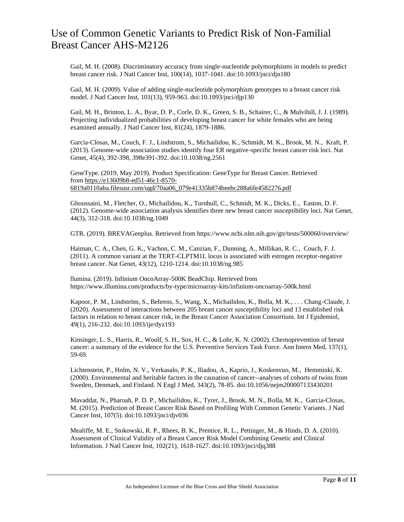Gail, M. H. (2008). Discriminatory accuracy from single-nucleotide polymorphisms in models to predict breast cancer risk. J Natl Cancer Inst, 100(14), 1037-1041. doi:10.1093/jnci/djn180

Gail, M. H. (2009). Value of adding single-nucleotide polymorphism genotypes to a breast cancer risk model. J Natl Cancer Inst, 101(13), 959-963. doi:10.1093/jnci/djp130

Gail, M. H., Brinton, L. A., Byar, D. P., Corle, D. K., Green, S. B., Schairer, C., & Mulvihill, J. J. (1989). Projecting individualized probabilities of developing breast cancer for white females who are being examined annually. J Natl Cancer Inst, 81(24), 1879-1886.

Garcia-Closas, M., Couch, F. J., Lindstrom, S., Michailidou, K., Schmidt, M. K., Brook, M. N., Kraft, P. (2013). Genome-wide association studies identify four ER negative-specific breast cancer risk loci. Nat Genet, 45(4), 392-398, 398e391-392. doi:10.1038/ng.2561

GeneType. (2019, May 2019). Product Specification: GeneType for Breast Cancer. Retrieved from [https://e13609b8-ed51-46c1-8570-](https://e13609b8-ed51-46c1-8570-6819a0110aba.filesusr.com/ugd/70aa06_079e41335b874beebc288a6fe4582276.pdf) [6819a0110aba.filesusr.com/ugd/70aa06\\_079e41335b874beebc288a6fe4582276.pdf](https://e13609b8-ed51-46c1-8570-6819a0110aba.filesusr.com/ugd/70aa06_079e41335b874beebc288a6fe4582276.pdf)

Ghoussaini, M., Fletcher, O., Michailidou, K., Turnbull, C., Schmidt, M. K., Dicks, E., Easton, D. F. (2012). Genome-wide association analysis identifies three new breast cancer susceptibility loci. Nat Genet, 44(3), 312-318. doi:10.1038/ng.1049

GTR. (2019). BREVAGenplus. Retrieved from https://www.ncbi.nlm.nih.gov/gtr/tests/500060/overview/

Haiman, C. A., Chen, G. K., Vachon, C. M., Canzian, F., Dunning, A., Millikan, R. C., Couch, F. J. (2011). A common variant at the TERT-CLPTM1L locus is associated with estrogen receptor-negative breast cancer. Nat Genet, 43(12), 1210-1214. doi:10.1038/ng.985

llumina. (2019). Infinium OncoArray-500K BeadChip. Retrieved from https://www.illumina.com/products/by-type/microarray-kits/infinium-oncoarray-500k.html

Kapoor, P. M., Lindström, S., Behrens, S., Wang, X., Michailidou, K., Bolla, M. K., . . . Chang-Claude, J. (2020). Assessment of interactions between 205 breast cancer susceptibility loci and 13 established risk factors in relation to breast cancer risk, in the Breast Cancer Association Consortium. Int J Epidemiol, 49(1), 216-232. doi:10.1093/ije/dyz193

Kinsinger, L. S., Harris, R., Woolf, S. H., Sox, H. C., & Lohr, K. N. (2002). Chemoprevention of breast cancer: a summary of the evidence for the U.S. Preventive Services Task Force. Ann Intern Med, 137(1), 59-69.

Lichtenstein, P., Holm, N. V., Verkasalo, P. K., Iliadou, A., Kaprio, J., Koskenvuo, M., Hemminki, K. (2000). Environmental and heritable factors in the causation of cancer--analyses of cohorts of twins from Sweden, Denmark, and Finland. N Engl J Med, 343(2), 78-85. doi:10.1056/nejm200007133430201

Mavaddat, N., Pharoah, P. D. P., Michailidou, K., Tyrer, J., Brook, M. N., Bolla, M. K., Garcia-Closas, M. (2015). Prediction of Breast Cancer Risk Based on Profiling With Common Genetic Variants. J Natl Cancer Inst, 107(5). doi:10.1093/jnci/djv036

Mealiffe, M. E., Stokowski, R. P., Rhees, B. K., Prentice, R. L., Pettinger, M., & Hinds, D. A. (2010). Assessment of Clinical Validity of a Breast Cancer Risk Model Combining Genetic and Clinical Information. J Natl Cancer Inst, 102(21), 1618-1627. doi:10.1093/jnci/djq388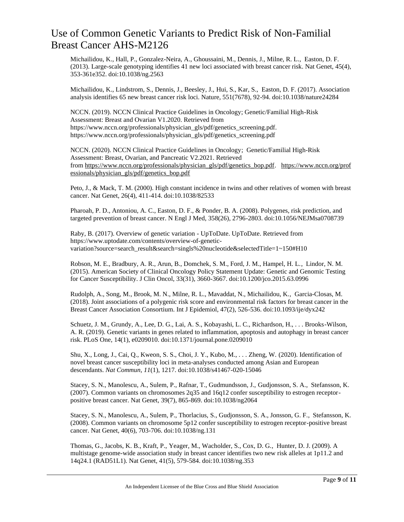Michailidou, K., Hall, P., Gonzalez-Neira, A., Ghoussaini, M., Dennis, J., Milne, R. L., Easton, D. F. (2013). Large-scale genotyping identifies 41 new loci associated with breast cancer risk. Nat Genet, 45(4), 353-361e352. doi:10.1038/ng.2563

Michailidou, K., Lindstrom, S., Dennis, J., Beesley, J., Hui, S., Kar, S., Easton, D. F. (2017). Association analysis identifies 65 new breast cancer risk loci. Nature, 551(7678), 92-94. doi:10.1038/nature24284

NCCN. (2019). NCCN Clinical Practice Guidelines in Oncology; Genetic/Familial High-Risk Assessment: Breast and Ovarian V1.2020. Retrieved from https://www.nccn.org/professionals/physician\_gls/pdf/genetics\_screening.pdf. https://www.nccn.org/professionals/physician\_gls/pdf/genetics\_screening.pdf

NCCN. (2020). NCCN Clinical Practice Guidelines in Oncology; Genetic/Familial High-Risk Assessment: Breast, Ovarian, and Pancreatic V2.2021. Retrieved from [https://www.nccn.org/professionals/physician\\_gls/pdf/genetics\\_bop.pdf.](https://www.nccn.org/professionals/physician_gls/pdf/genetics_bop.pdf) [https://www.nccn.org/prof](https://www.nccn.org/professionals/physician_gls/pdf/genetics_bop.pdf) [essionals/physician\\_gls/pdf/genetics\\_bop.pdf](https://www.nccn.org/professionals/physician_gls/pdf/genetics_bop.pdf)

Peto, J., & Mack, T. M. (2000). High constant incidence in twins and other relatives of women with breast cancer. Nat Genet, 26(4), 411-414. doi:10.1038/82533

Pharoah, P. D., Antoniou, A. C., Easton, D. F., & Ponder, B. A. (2008). Polygenes, risk prediction, and targeted prevention of breast cancer. N Engl J Med, 358(26), 2796-2803. doi:10.1056/NEJMsa0708739

Raby, B. (2017). Overview of genetic variation - UpToDate. UpToDate. Retrieved from [https://www.uptodate.com/contents/overview-of-genetic](https://www.uptodate.com/contents/overview-of-genetic-variation?source=search_result&search=singls%20nucleotide&selectedTitle=1~150#H10)[variation?source=search\\_result&search=singls%20nucleotide&selectedTitle=1~150#H10](https://www.uptodate.com/contents/overview-of-genetic-variation?source=search_result&search=singls%20nucleotide&selectedTitle=1~150#H10)

Robson, M. E., Bradbury, A. R., Arun, B., Domchek, S. M., Ford, J. M., Hampel, H. L., Lindor, N. M. (2015). American Society of Clinical Oncology Policy Statement Update: Genetic and Genomic Testing for Cancer Susceptibility. J Clin Oncol, 33(31), 3660-3667. doi:10.1200/jco.2015.63.0996

Rudolph, A., Song, M., Brook, M. N., Milne, R. L., Mavaddat, N., Michailidou, K., Garcia-Closas, M. (2018). Joint associations of a polygenic risk score and environmental risk factors for breast cancer in the Breast Cancer Association Consortium. Int J Epidemiol, 47(2), 526-536. doi:10.1093/ije/dyx242

Schuetz, J. M., Grundy, A., Lee, D. G., Lai, A. S., Kobayashi, L. C., Richardson, H., . . . Brooks-Wilson, A. R. (2019). Genetic variants in genes related to inflammation, apoptosis and autophagy in breast cancer risk. PLoS One, 14(1), e0209010. doi:10.1371/journal.pone.0209010

Shu, X., Long, J., Cai, Q., Kweon, S. S., Choi, J. Y., Kubo, M., . . . Zheng, W. (2020). Identification of novel breast cancer susceptibility loci in meta-analyses conducted among Asian and European descendants. *Nat Commun, 11*(1), 1217. doi:10.1038/s41467-020-15046

Stacey, S. N., Manolescu, A., Sulem, P., Rafnar, T., Gudmundsson, J., Gudjonsson, S. A., Stefansson, K. (2007). Common variants on chromosomes 2q35 and 16q12 confer susceptibility to estrogen receptorpositive breast cancer. Nat Genet, 39(7), 865-869. doi:10.1038/ng2064

Stacey, S. N., Manolescu, A., Sulem, P., Thorlacius, S., Gudjonsson, S. A., Jonsson, G. F., Stefansson, K. (2008). Common variants on chromosome 5p12 confer susceptibility to estrogen receptor-positive breast cancer. Nat Genet, 40(6), 703-706. doi:10.1038/ng.131

Thomas, G., Jacobs, K. B., Kraft, P., Yeager, M., Wacholder, S., Cox, D. G., Hunter, D. J. (2009). A multistage genome-wide association study in breast cancer identifies two new risk alleles at 1p11.2 and 14q24.1 (RAD51L1). Nat Genet, 41(5), 579-584. doi:10.1038/ng.353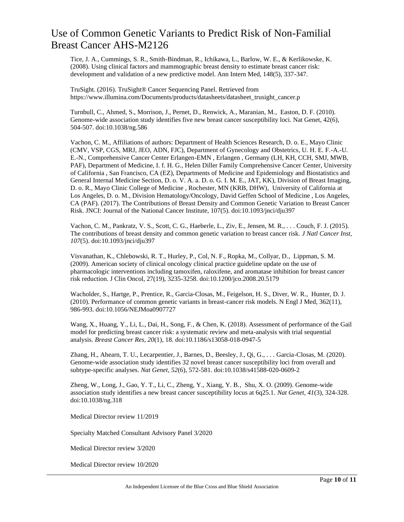Tice, J. A., Cummings, S. R., Smith-Bindman, R., Ichikawa, L., Barlow, W. E., & Kerlikowske, K. (2008). Using clinical factors and mammographic breast density to estimate breast cancer risk: development and validation of a new predictive model. Ann Intern Med, 148(5), 337-347.

TruSight. (2016). TruSight® Cancer Sequencing Panel. Retrieved from https://www.illumina.com/Documents/products/datasheets/datasheet\_trusight\_cancer.p

Turnbull, C., Ahmed, S., Morrison, J., Pernet, D., Renwick, A., Maranian, M., Easton, D. F. (2010). Genome-wide association study identifies five new breast cancer susceptibility loci. Nat Genet, 42(6), 504-507. doi:10.1038/ng.586

Vachon, C. M., Affiliations of authors: Department of Health Sciences Research, D. o. E., Mayo Clinic (CMV, VSP, CGS, MRJ, JEO, ADN, FJC), Department of Gynecology and Obstetrics, U. H. E. F.-A.-U. E.-N., Comprehensive Cancer Center Erlangen-EMN , Erlangen , Germany (LH, KH, CCH, SMJ, MWB, PAF), Department of Medicine, I. f. H. G., Helen Diller Family Comprehensive Cancer Center, University of California , San Francisco, CA (EZ), Departments of Medicine and Epidemiology and Biostatistics and General Internal Medicine Section, D. o. V. A. a. D. o. G. I. M. E., JAT, KK), Division of Breast Imaging, D. o. R., Mayo Clinic College of Medicine , Rochester, MN (KRB, DHW), University of California at Los Angeles, D. o. M., Division Hematology/Oncology, David Geffen School of Medicine , Los Angeles, CA (PAF). (2017). The Contributions of Breast Density and Common Genetic Variation to Breast Cancer Risk. JNCI: Journal of the National Cancer Institute, 107(5). doi:10.1093/jnci/dju397

Vachon, C. M., Pankratz, V. S., Scott, C. G., Haeberle, L., Ziv, E., Jensen, M. R., . . . Couch, F. J. (2015). The contributions of breast density and common genetic variation to breast cancer risk. *J Natl Cancer Inst, 107*(5). doi:10.1093/jnci/dju397

Visvanathan, K., Chlebowski, R. T., Hurley, P., Col, N. F., Ropka, M., Collyar, D., Lippman, S. M. (2009). American society of clinical oncology clinical practice guideline update on the use of pharmacologic interventions including tamoxifen, raloxifene, and aromatase inhibition for breast cancer risk reduction. J Clin Oncol, 27(19), 3235-3258. doi:10.1200/jco.2008.20.5179

Wacholder, S., Hartge, P., Prentice, R., Garcia-Closas, M., Feigelson, H. S., Diver, W. R., Hunter, D. J. (2010). Performance of common genetic variants in breast-cancer risk models. N Engl J Med, 362(11), 986-993. doi:10.1056/NEJMoa0907727

Wang, X., Huang, Y., Li, L., Dai, H., Song, F., & Chen, K. (2018). Assessment of performance of the Gail model for predicting breast cancer risk: a systematic review and meta-analysis with trial sequential analysis. *Breast Cancer Res, 20*(1), 18. doi:10.1186/s13058-018-0947-5

Zhang, H., Ahearn, T. U., Lecarpentier, J., Barnes, D., Beesley, J., Qi, G., . . . Garcia-Closas, M. (2020). Genome-wide association study identifies 32 novel breast cancer susceptibility loci from overall and subtype-specific analyses. *Nat Genet, 52*(6), 572-581. doi:10.1038/s41588-020-0609-2

Zheng, W., Long, J., Gao, Y. T., Li, C., Zheng, Y., Xiang, Y. B., Shu, X. O. (2009). Genome-wide association study identifies a new breast cancer susceptibility locus at 6q25.1. *Nat Genet, 41*(3), 324-328. doi:10.1038/ng.318

Medical Director review 11/2019

Specialty Matched Consultant Advisory Panel 3/2020

Medical Director review 3/2020

Medical Director review 10/2020